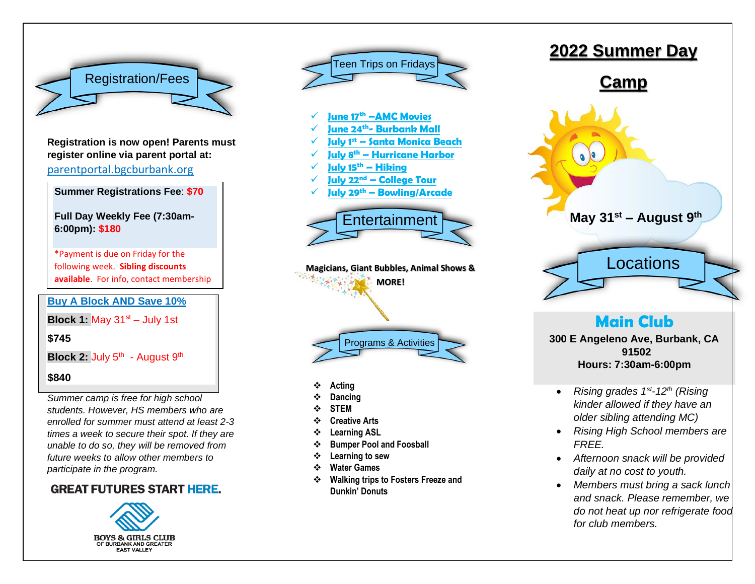

**Registration is now open! Parents must register online via parent portal at:** parentportal.bgcburbank.org

**Summer Registrations Fee**: **\$70**

**Full Day Weekly Fee (7:30am-6:00pm): \$180**

\*Payment is due on Friday for the following week. **Sibling discounts available**. For info, contact membership

**Buy A Block AND Save 10%** department.

**Block 1:** May  $31<sup>st</sup> - July 1st$ 

**\$745**

**Block 2: July 5<sup>th</sup> - August 9<sup>th</sup>** 

#### **\$840**

*Summer camp is free for high school students. However, HS members who are enrolled for summer must attend at least 2-3 times a week to secure their spot. If they are unable to do so, they will be removed from future weeks to allow other members to participate in the program.*

### **GREAT FUTURES START HERE.**





- ❖ **Acting**
- ❖ **Dancing**
- ❖ **STEM**
- ❖ **Creative Arts**
- ❖ **Learning ASL**
- ❖ **Bumper Pool and Foosball**
- ❖ **Learning to sew**
- ❖ **Water Games**
- ❖ **Walking trips to Fosters Freeze and Dunkin' Donuts**



### **Main Club**

**300 E Angeleno Ave, Burbank, CA 91502 Hours: 7:30am-6:00pm**

- *Rising grades 1st -12th (Rising kinder allowed if they have an older sibling attending MC)*
- *Rising High School members are FREE.*
- *Afternoon snack will be provided daily at no cost to youth.*
- *Members must bring a sack lunch and snack. Please remember, we do not heat up nor refrigerate food for club members.*